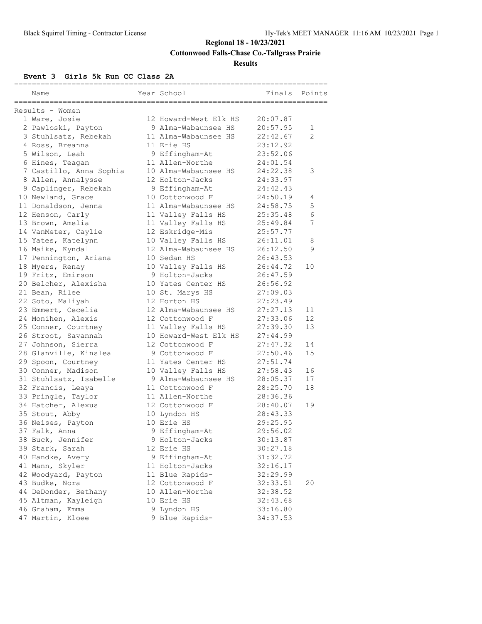**Cottonwood Falls-Chase Co.-Tallgrass Prairie**

### **Results**

### **Event 3 Girls 5k Run CC Class 2A**

|                                         | ___________________   |          |                |
|-----------------------------------------|-----------------------|----------|----------------|
| Name                                    | Year School           | Finals   | Points         |
| ===================                     |                       |          |                |
| Results - Women                         |                       |          |                |
| 1 Ware, Josie                           | 12 Howard-West Elk HS | 20:07.87 |                |
| 2 Pawloski, Payton                      | 9 Alma-Wabaunsee HS   | 20:57.95 | 1              |
| 3 Stuhlsatz, Rebekah                    | 11 Alma-Wabaunsee HS  | 22:42.67 | $\mathfrak{D}$ |
| 4 Ross, Breanna                         | 11 Erie HS            | 23:12.92 |                |
| 5 Wilson, Leah                          | 9 Effingham-At        | 23:52.06 |                |
| 6 Hines, Teagan                         | 11 Allen-Northe       | 24:01.54 |                |
| 7 Castillo, Anna Sophia                 | 10 Alma-Wabaunsee HS  | 24:22.38 | 3              |
| 8 Allen, Annalysse                      | 12 Holton-Jacks       | 24:33.97 |                |
| 9 Caplinger, Rebekah                    | 9 Effingham-At        | 24:42.43 |                |
| 10 Newland, Grace                       | 10 Cottonwood F       | 24:50.19 | 4              |
| 11 Donaldson, Jenna                     | 11 Alma-Wabaunsee HS  | 24:58.75 | 5              |
| 12 Henson, Carly                        | 11 Valley Falls HS    | 25:35.48 | 6              |
| 13 Brown, Amelia                        | 11 Valley Falls HS    | 25:49.84 | 7              |
| 14 VanMeter, Caylie                     | 12 Eskridge-Mis       | 25:57.77 |                |
| 15 Yates, Katelynn                      | 10 Valley Falls HS    | 26:11.01 | 8              |
| 16 Maike, Kyndal                        | 12 Alma-Wabaunsee HS  | 26:12.50 | 9              |
| 17 Pennington, Ariana                   | 10 Sedan HS           | 26:43.53 |                |
| 18 Myers, Renay                         | 10 Valley Falls HS    | 26:44.72 | 10             |
| 19 Fritz, Emirson                       | 9 Holton-Jacks        | 26:47.59 |                |
| 20 Belcher, Alexisha                    | 10 Yates Center HS    | 26:56.92 |                |
| 21 Bean, Rilee                          | 10 St. Marys HS       | 27:09.03 |                |
| 22 Soto, Maliyah                        | 12 Horton HS          | 27:23.49 |                |
| 23 Emmert, Cecelia                      | 12 Alma-Wabaunsee HS  | 27:27.13 | 11             |
| 24 Monihen, Alexis                      | 12 Cottonwood F       | 27:33.06 | 12             |
| 25 Conner, Courtney                     | 11 Valley Falls HS    | 27:39.30 | 13             |
| 26 Stroot, Savannah                     | 10 Howard-West Elk HS | 27:44.99 |                |
| 27 Johnson, Sierra                      | 12 Cottonwood F       | 27:47.32 | 14             |
| 28 Glanville, Kinslea                   | 9 Cottonwood F        | 27:50.46 | 15             |
| 29 Spoon, Courtney                      | 11 Yates Center HS    | 27:51.74 |                |
| 30 Conner, Madison                      | 10 Valley Falls HS    | 27:58.43 | 16             |
| 31 Stuhlsatz, Isabelle                  | 9 Alma-Wabaunsee HS   | 28:05.37 | 17             |
|                                         | 11 Cottonwood F       | 28:25.70 | 18             |
| 32 Francis, Leaya<br>33 Pringle, Taylor | 11 Allen-Northe       | 28:36.36 |                |
| 34 Hatcher, Alexus                      | 12 Cottonwood F       | 28:40.07 | 19             |
|                                         |                       |          |                |
| 35 Stout, Abby                          | 10 Lyndon HS          | 28:43.33 |                |
| 36 Neises, Payton                       | 10 Erie HS            | 29:25.95 |                |
| 37 Falk, Anna                           | 9 Effingham-At        | 29:56.02 |                |
| 38 Buck, Jennifer                       | 9 Holton-Jacks        | 30:13.87 |                |
| 39 Stark, Sarah                         | 12 Erie HS            | 30:27.18 |                |
| 40 Handke, Avery                        | 9 Effingham-At        | 31:32.72 |                |
| 41 Mann, Skyler                         | 11 Holton-Jacks       | 32:16.17 |                |
| 42 Woodyard, Payton                     | 11 Blue Rapids-       | 32:29.99 |                |
| 43 Budke, Nora                          | 12 Cottonwood F       | 32:33.51 | 20             |
| 44 DeDonder, Bethany                    | 10 Allen-Northe       | 32:38.52 |                |
| 45 Altman, Kayleigh                     | 10 Erie HS            | 32:43.68 |                |
| 46 Graham, Emma                         | 9 Lyndon HS           | 33:16.80 |                |
| 47 Martin, Kloee                        | 9 Blue Rapids-        | 34:37.53 |                |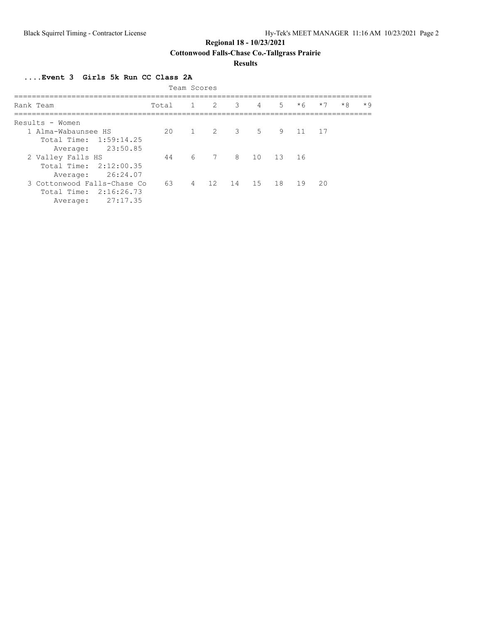**Cottonwood Falls-Chase Co.-Tallgrass Prairie**

### **Results**

**....Event 3 Girls 5k Run CC Class 2A**

| Team Scores                 |       |  |  |                     |                     |       |         |      |      |      |
|-----------------------------|-------|--|--|---------------------|---------------------|-------|---------|------|------|------|
| Rank Team                   | Total |  |  | $1 \quad 2 \quad 3$ | $\overline{4}$      | $5 -$ | $*6$    | $*7$ | $*8$ | $*9$ |
| Results - Women             |       |  |  |                     |                     |       |         |      |      |      |
| 1 Alma-Wabaunsee HS         | 20    |  |  |                     | 1 2 3 5             |       | 9 11 17 |      |      |      |
| Total Time: 1:59:14.25      |       |  |  |                     |                     |       |         |      |      |      |
| 23:50.85<br>Average:        |       |  |  |                     |                     |       |         |      |      |      |
| 2 Valley Falls HS           | 44    |  |  | 6 7 8 10            |                     | 13 16 |         |      |      |      |
| Total Time: 2:12:00.35      |       |  |  |                     |                     |       |         |      |      |      |
| Average: 26:24.07           |       |  |  |                     |                     |       |         |      |      |      |
| 3 Cottonwood Falls-Chase Co | 63    |  |  |                     | 4 12 14 15 18 19 20 |       |         |      |      |      |
| Total Time: 2:16:26.73      |       |  |  |                     |                     |       |         |      |      |      |
| 27:17.35<br>Average:        |       |  |  |                     |                     |       |         |      |      |      |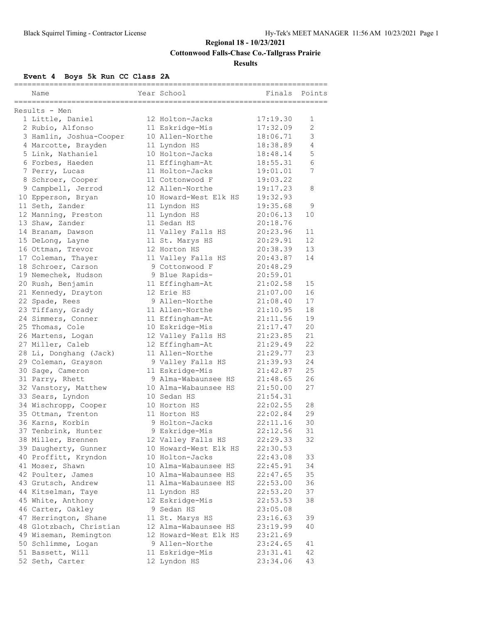# **Regional 18 - 10/23/2021 Cottonwood Falls-Chase Co.-Tallgrass Prairie Results**

# **Event 4 Boys 5k Run CC Class 2A**

| ===================== |                                   |  |                       |          |             |  |  |  |  |
|-----------------------|-----------------------------------|--|-----------------------|----------|-------------|--|--|--|--|
|                       | Name                              |  | Year School           | Finals   | Points      |  |  |  |  |
|                       |                                   |  |                       |          |             |  |  |  |  |
|                       | Results - Men<br>1 Little, Daniel |  | 12 Holton-Jacks       | 17:19.30 | 1           |  |  |  |  |
|                       | 2 Rubio, Alfonso                  |  | 11 Eskridge-Mis       | 17:32.09 | 2           |  |  |  |  |
|                       | 3 Hamlin, Joshua-Cooper           |  | 10 Allen-Northe       | 18:06.71 | $\mathsf 3$ |  |  |  |  |
|                       | 4 Marcotte, Brayden               |  | 11 Lyndon HS          | 18:38.89 | 4           |  |  |  |  |
|                       | 5 Link, Nathaniel                 |  | 10 Holton-Jacks       | 18:48.14 | 5           |  |  |  |  |
|                       | 6 Forbes, Haeden                  |  | 11 Effingham-At       | 18:55.31 | 6           |  |  |  |  |
|                       | 7 Perry, Lucas                    |  | 11 Holton-Jacks       | 19:01.01 | 7           |  |  |  |  |
|                       | 8 Schroer, Cooper                 |  | 11 Cottonwood F       | 19:03.22 |             |  |  |  |  |
|                       | 9 Campbell, Jerrod                |  | 12 Allen-Northe       | 19:17.23 | 8           |  |  |  |  |
|                       | 10 Epperson, Bryan                |  | 10 Howard-West Elk HS | 19:32.93 |             |  |  |  |  |
|                       | 11 Seth, Zander                   |  | 11 Lyndon HS          | 19:35.68 | 9           |  |  |  |  |
|                       | 12 Manning, Preston               |  | 11 Lyndon HS          | 20:06.13 | 10          |  |  |  |  |
|                       | 13 Shaw, Zander                   |  | 11 Sedan HS           | 20:18.76 |             |  |  |  |  |
|                       | 14 Branam, Dawson                 |  | 11 Valley Falls HS    | 20:23.96 | 11          |  |  |  |  |
|                       | 15 DeLong, Layne                  |  | 11 St. Marys HS       | 20:29.91 | 12          |  |  |  |  |
|                       | 16 Ottman, Trevor                 |  | 12 Horton HS          | 20:38.39 | 13          |  |  |  |  |
|                       | 17 Coleman, Thayer                |  | 11 Valley Falls HS    | 20:43.87 | 14          |  |  |  |  |
|                       | 18 Schroer, Carson                |  | 9 Cottonwood F        | 20:48.29 |             |  |  |  |  |
|                       | 19 Nemechek, Hudson               |  | 9 Blue Rapids-        | 20:59.01 |             |  |  |  |  |
|                       | 20 Rush, Benjamin                 |  | 11 Effingham-At       | 21:02.58 | 15          |  |  |  |  |
|                       | 21 Kennedy, Drayton               |  | 12 Erie HS            | 21:07.00 | 16          |  |  |  |  |
|                       | 22 Spade, Rees                    |  | 9 Allen-Northe        | 21:08.40 | 17          |  |  |  |  |
|                       | 23 Tiffany, Grady                 |  | 11 Allen-Northe       | 21:10.95 | 18          |  |  |  |  |
|                       | 24 Simmers, Conner                |  | 11 Effingham-At       | 21:11.56 | 19          |  |  |  |  |
|                       | 25 Thomas, Cole                   |  | 10 Eskridge-Mis       | 21:17.47 | 20          |  |  |  |  |
|                       | 26 Martens, Logan                 |  | 12 Valley Falls HS    | 21:23.85 | 21          |  |  |  |  |
|                       | 27 Miller, Caleb                  |  | 12 Effingham-At       | 21:29.49 | 22          |  |  |  |  |
|                       | 28 Li, Donghang (Jack)            |  | 11 Allen-Northe       | 21:29.77 | 23          |  |  |  |  |
|                       | 29 Coleman, Grayson               |  | 9 Valley Falls HS     | 21:39.93 | 24          |  |  |  |  |
|                       | 30 Sage, Cameron                  |  | 11 Eskridge-Mis       | 21:42.87 | 25          |  |  |  |  |
|                       | 31 Parry, Rhett                   |  | 9 Alma-Wabaunsee HS   | 21:48.65 | 26          |  |  |  |  |
|                       | 32 Vanstory, Matthew              |  | 10 Alma-Wabaunsee HS  | 21:50.00 | 27          |  |  |  |  |
|                       | 33 Sears, Lyndon                  |  | 10 Sedan HS           | 21:54.31 |             |  |  |  |  |
|                       | 34 Wischropp, Cooper              |  | 10 Horton HS          | 22:02.55 | 28          |  |  |  |  |
|                       | 35 Ottman, Trenton                |  | 11 Horton HS          | 22:02.84 | 29          |  |  |  |  |
|                       | 36 Karns, Korbin                  |  | 9 Holton-Jacks        | 22:11.16 | 30          |  |  |  |  |
|                       | 37 Tenbrink, Hunter               |  | 9 Eskridge-Mis        | 22:12.56 | 31          |  |  |  |  |
|                       | 38 Miller, Brennen                |  | 12 Valley Falls HS    | 22:29.33 | 32          |  |  |  |  |
|                       | 39 Daugherty, Gunner              |  | 10 Howard-West Elk HS | 22:30.53 |             |  |  |  |  |
|                       | 40 Proffitt, Kryndon              |  | 10 Holton-Jacks       | 22:43.08 | 33          |  |  |  |  |
|                       | 41 Moser, Shawn                   |  | 10 Alma-Wabaunsee HS  | 22:45.91 | 34          |  |  |  |  |
|                       | 42 Poulter, James                 |  | 10 Alma-Wabaunsee HS  | 22:47.65 | 35          |  |  |  |  |
|                       | 43 Grutsch, Andrew                |  | 11 Alma-Wabaunsee HS  | 22:53.00 | 36          |  |  |  |  |
|                       | 44 Kitselman, Taye                |  | 11 Lyndon HS          | 22:53.20 | 37          |  |  |  |  |
|                       | 45 White, Anthony                 |  | 12 Eskridge-Mis       | 22:53.53 | 38          |  |  |  |  |
|                       | 46 Carter, Oakley                 |  | 9 Sedan HS            | 23:05.08 |             |  |  |  |  |
|                       | 47 Herrington, Shane              |  | 11 St. Marys HS       | 23:16.63 | 39          |  |  |  |  |
|                       | 48 Glotzbach, Christian           |  | 12 Alma-Wabaunsee HS  | 23:19.99 | 40          |  |  |  |  |
|                       | 49 Wiseman, Remington             |  | 12 Howard-West Elk HS | 23:21.69 |             |  |  |  |  |
|                       | 50 Schlimme, Logan                |  | 9 Allen-Northe        | 23:24.65 | 41          |  |  |  |  |
|                       | 51 Bassett, Will                  |  | 11 Eskridge-Mis       | 23:31.41 | 42          |  |  |  |  |
|                       | 52 Seth, Carter                   |  | 12 Lyndon HS          | 23:34.06 | 43          |  |  |  |  |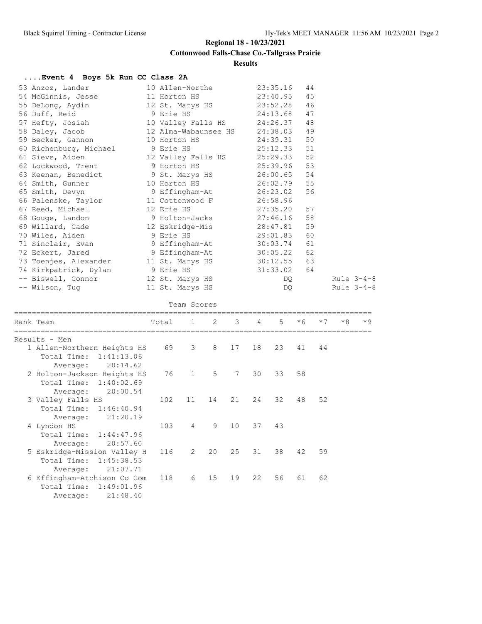## **Cottonwood Falls-Chase Co.-Tallgrass Prairie**

**Results**

## **....Event 4 Boys 5k Run CC Class 2A**

| 53 Anzoz, Lander 10 Allen-Northe 23:35.16 44                                             |  |                                                                                                                                                                                                                                |            |
|------------------------------------------------------------------------------------------|--|--------------------------------------------------------------------------------------------------------------------------------------------------------------------------------------------------------------------------------|------------|
| 54 McGinnis, Jesse 11 Horton HS 23:40.95 45                                              |  |                                                                                                                                                                                                                                |            |
| 55 DeLong, Aydin 12 St. Marys HS 23:52.28 46                                             |  |                                                                                                                                                                                                                                |            |
| 56 Duff, Reid                   9 Erie HS               24:13.68     47                  |  |                                                                                                                                                                                                                                |            |
| 57 Hefty, Josiah 10 Valley Falls HS 24:26.37 48                                          |  |                                                                                                                                                                                                                                |            |
| 58 Daley, Jacob 12 Alma-Wabaunsee HS 24:38.03 49                                         |  |                                                                                                                                                                                                                                |            |
| 59 Becker, Gannon 10 Horton HS 24:39.31 50                                               |  |                                                                                                                                                                                                                                |            |
|                                                                                          |  |                                                                                                                                                                                                                                |            |
| 61 Sieve, Aiden 12 Valley Falls HS 25:29.33 52                                           |  |                                                                                                                                                                                                                                |            |
| 62 Lockwood, Trent 9 Horton HS 25:39.96 53                                               |  |                                                                                                                                                                                                                                |            |
| 63 Keenan, Benedict 9 St. Marys HS 26:00.65 54                                           |  |                                                                                                                                                                                                                                |            |
| 64 Smith, Gunner 10 Horton HS 26:02.79 55                                                |  |                                                                                                                                                                                                                                |            |
| 65 Smith, Devyn 9 Effingham-At 26:23.02 56                                               |  |                                                                                                                                                                                                                                |            |
| 66 Palenske, Taylor 11 Cottonwood F 26:58.96                                             |  |                                                                                                                                                                                                                                |            |
| 67 Reed, Michael 12 Erie HS 27:35.20 57                                                  |  |                                                                                                                                                                                                                                |            |
| 68 Gouge, Landon 9 Holton-Jacks 27:46.16 58                                              |  |                                                                                                                                                                                                                                |            |
| 69 Willard, Cade and 12 Eskridge-Mis 28:47.81 59                                         |  |                                                                                                                                                                                                                                |            |
| 70 Wiles, Aiden 3 Erie HS 29:01.83 60                                                    |  |                                                                                                                                                                                                                                |            |
| 71 Sinclair, Evan<br>72 Eckert, Jared<br>9 Effingham-At<br>9 Effingham-At<br>30:05.22 62 |  |                                                                                                                                                                                                                                |            |
|                                                                                          |  |                                                                                                                                                                                                                                |            |
| 73 Toenjes, Alexander 11 St. Marys HS 30:12.55 63                                        |  |                                                                                                                                                                                                                                |            |
| 74 Kirkpatrick, Dylan 9 Erie HS 31:33.02 64                                              |  |                                                                                                                                                                                                                                |            |
|                                                                                          |  | DQ and the state of the state of the state of the state of the state of the state of the state of the state of the state of the state of the state of the state of the state of the state of the state of the state of the sta | Rule 3-4-8 |
| -- Biswell, Connor 12 St. Marys HS<br>-- Wilson, Tug 11 St. Marys HS                     |  | DQ                                                                                                                                                                                                                             | Rule 3-4-8 |
|                                                                                          |  |                                                                                                                                                                                                                                |            |

#### Team Scores

| Rank Team                                                | Total 1 2 3 |                |             |                 | $4 \quad$ | $5 -$ | $*6$ | $*7$ | $*8$ | $*9$ |
|----------------------------------------------------------|-------------|----------------|-------------|-----------------|-----------|-------|------|------|------|------|
| Results - Men                                            |             |                |             |                 |           |       |      |      |      |      |
| 1 Allen-Northern Heights HS<br>Total Time:<br>1:41:13.06 | 69          | 3              | 8           | 17              | 18        | 23    | 41   | 44   |      |      |
| 20:14.62<br>Average:                                     |             |                |             |                 |           |       |      |      |      |      |
| 2 Holton-Jackson Heights HS                              | 76          | $\mathbf{1}$   | $5^{\circ}$ | 7               | 30        | 33    | 58   |      |      |      |
| Total Time: 1:40:02.69                                   |             |                |             |                 |           |       |      |      |      |      |
| 20:00.54<br>Average:                                     |             |                |             |                 |           |       |      |      |      |      |
| 3 Valley Falls HS                                        | 102         | 11             | 14          | 21              | 24        | 32    | 48   | 52   |      |      |
| Total Time: 1:46:40.94                                   |             |                |             |                 |           |       |      |      |      |      |
| 21:20.19<br>Average:                                     |             |                |             |                 |           |       |      |      |      |      |
| 4 Lyndon HS                                              | 103         | $\overline{4}$ | 9           | 10 <sup>°</sup> | 37        | 43    |      |      |      |      |
| Total Time: 1:44:47.96                                   |             |                |             |                 |           |       |      |      |      |      |
| 20:57.60<br>Average:                                     |             |                |             |                 |           |       |      |      |      |      |
| 5 Eskridge-Mission Valley H                              | 116         | 2              | 20          | 25              | 31        | 38    | 42   | 59   |      |      |
| Total Time: 1:45:38.53                                   |             |                |             |                 |           |       |      |      |      |      |
| 21:07.71<br>Average:                                     |             |                |             |                 |           |       |      |      |      |      |
| 6 Effingham-Atchison Co Com                              | 118         | 6              | 15          | 19              | 22        | 56    | 61   | 62   |      |      |
| Total Time: 1:49:01.96                                   |             |                |             |                 |           |       |      |      |      |      |
| 21:48.40<br>Average:                                     |             |                |             |                 |           |       |      |      |      |      |